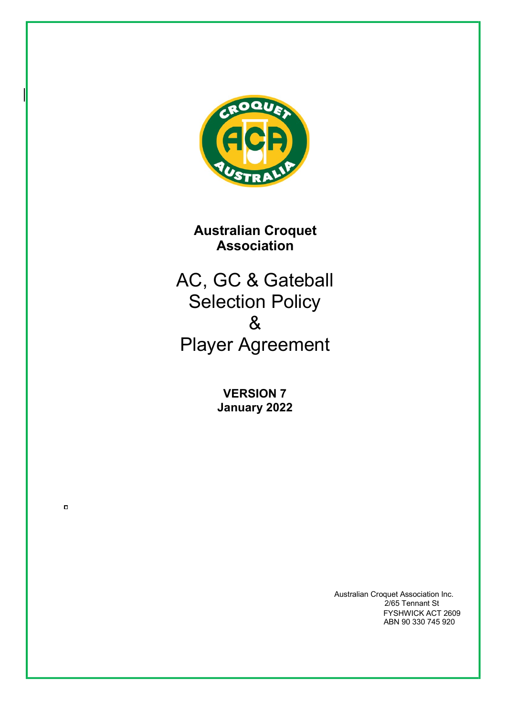

**Australian Croquet Association**

AC, GC & Gateball Selection Policy & Player Agreement

> **VERSION 7 January 2022**

 $\Box$ 

Australian Croquet Association Inc. 2/65 Tennant St FYSHWICK ACT 2609 ABN 90 330 745 920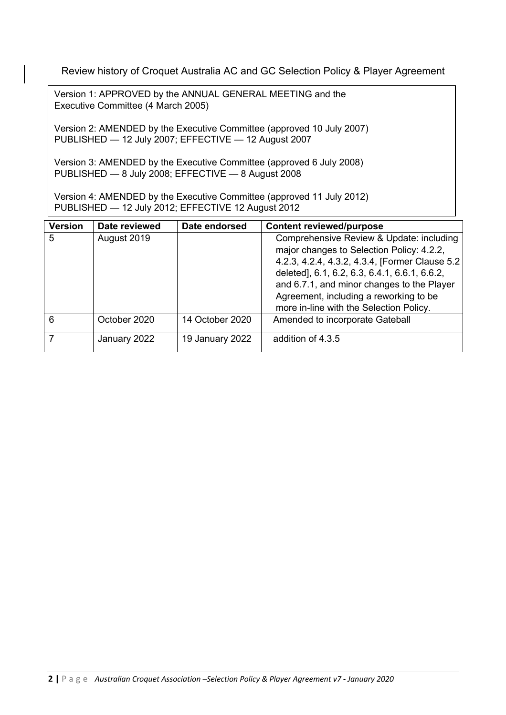Review history of Croquet Australia AC and GC Selection Policy & Player Agreement

Version 1: APPROVED by the ANNUAL GENERAL MEETING and the Executive Committee (4 March 2005)

Version 2: AMENDED by the Executive Committee (approved 10 July 2007) PUBLISHED — 12 July 2007; EFFECTIVE — 12 August 2007

Version 3: AMENDED by the Executive Committee (approved 6 July 2008) PUBLISHED — 8 July 2008; EFFECTIVE — 8 August 2008

Version 4: AMENDED by the Executive Committee (approved 11 July 2012) PUBLISHED — 12 July 2012; EFFECTIVE 12 August 2012

| <b>Version</b> | Date reviewed | Date endorsed   | <b>Content reviewed/purpose</b>                                                                                                                                                                                                                                                                                               |
|----------------|---------------|-----------------|-------------------------------------------------------------------------------------------------------------------------------------------------------------------------------------------------------------------------------------------------------------------------------------------------------------------------------|
| 5              | August 2019   |                 | Comprehensive Review & Update: including<br>major changes to Selection Policy: 4.2.2,<br>4.2.3, 4.2.4, 4.3.2, 4.3.4, [Former Clause 5.2  <br>deleted], 6.1, 6.2, 6.3, 6.4.1, 6.6.1, 6.6.2,<br>and 6.7.1, and minor changes to the Player<br>Agreement, including a reworking to be<br>more in-line with the Selection Policy. |
| 6              | October 2020  | 14 October 2020 | Amended to incorporate Gateball                                                                                                                                                                                                                                                                                               |
|                | January 2022  | 19 January 2022 | addition of 4.3.5                                                                                                                                                                                                                                                                                                             |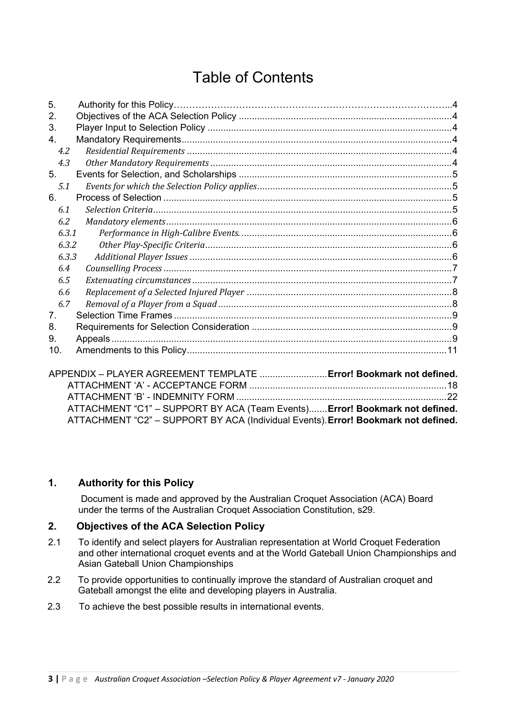# Table of Contents

| 5.    |  |
|-------|--|
| 2.    |  |
| 3.    |  |
| 4.    |  |
| 4.2   |  |
| 4.3   |  |
| 5.    |  |
| 5.1   |  |
| 6.    |  |
| 6.1   |  |
| 6.2   |  |
| 6.3.1 |  |
| 6.3.2 |  |
| 6.3.3 |  |
| 6.4   |  |
| 6.5   |  |
| 6.6   |  |
| 6.7   |  |
| 7.    |  |
| 8.    |  |
| 9.    |  |
| 10.   |  |

| ATTACHMENT "C1" - SUPPORT BY ACA (Team Events) Error! Bookmark not defined.        |  |
|------------------------------------------------------------------------------------|--|
| ATTACHMENT "C2" - SUPPORT BY ACA (Individual Events). Error! Bookmark not defined. |  |

### **1. Authority for this Policy**

Document is made and approved by the Australian Croquet Association (ACA) Board under the terms of the Australian Croquet Association Constitution, s29.

### **2. Objectives of the ACA Selection Policy**

- 2.1 To identify and select players for Australian representation at World Croquet Federation and other international croquet events and at the World Gateball Union Championships and Asian Gateball Union Championships
- 2.2 To provide opportunities to continually improve the standard of Australian croquet and Gateball amongst the elite and developing players in Australia.
- 2.3 To achieve the best possible results in international events.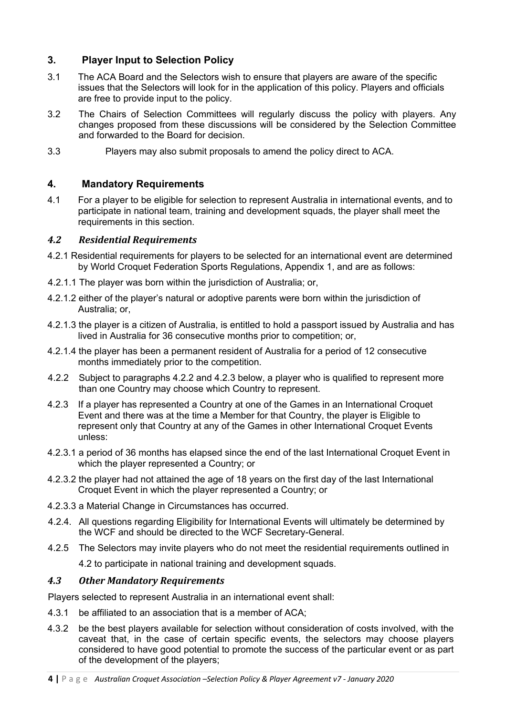### **3. Player Input to Selection Policy**

- 3.1 The ACA Board and the Selectors wish to ensure that players are aware of the specific issues that the Selectors will look for in the application of this policy. Players and officials are free to provide input to the policy.
- 3.2 The Chairs of Selection Committees will regularly discuss the policy with players. Any changes proposed from these discussions will be considered by the Selection Committee and forwarded to the Board for decision.
- 3.3 Players may also submit proposals to amend the policy direct to ACA.

### **4. Mandatory Requirements**

4.1 For a player to be eligible for selection to represent Australia in international events, and to participate in national team, training and development squads, the player shall meet the requirements in this section.

### *4.2 Residential Requirements*

- 4.2.1 Residential requirements for players to be selected for an international event are determined by World Croquet Federation Sports Regulations, Appendix 1, and are as follows:
- 4.2.1.1 The player was born within the jurisdiction of Australia; or,
- 4.2.1.2 either of the player's natural or adoptive parents were born within the jurisdiction of Australia; or,
- 4.2.1.3 the player is a citizen of Australia, is entitled to hold a passport issued by Australia and has lived in Australia for 36 consecutive months prior to competition; or,
- 4.2.1.4 the player has been a permanent resident of Australia for a period of 12 consecutive months immediately prior to the competition.
- 4.2.2 Subject to paragraphs 4.2.2 and 4.2.3 below, a player who is qualified to represent more than one Country may choose which Country to represent.
- 4.2.3 If a player has represented a Country at one of the Games in an International Croquet Event and there was at the time a Member for that Country, the player is Eligible to represent only that Country at any of the Games in other International Croquet Events unless:
- 4.2.3.1 a period of 36 months has elapsed since the end of the last International Croquet Event in which the player represented a Country; or
- 4.2.3.2 the player had not attained the age of 18 years on the first day of the last International Croquet Event in which the player represented a Country; or
- 4.2.3.3 a Material Change in Circumstances has occurred.
- 4.2.4. All questions regarding Eligibility for International Events will ultimately be determined by the WCF and should be directed to the WCF Secretary-General.
- 4.2.5 The Selectors may invite players who do not meet the residential requirements outlined in

4.2 to participate in national training and development squads.

### *4.3 Other Mandatory Requirements*

Players selected to represent Australia in an international event shall:

- 4.3.1 be affiliated to an association that is a member of ACA;
- 4.3.2 be the best players available for selection without consideration of costs involved, with the caveat that, in the case of certain specific events, the selectors may choose players considered to have good potential to promote the success of the particular event or as part of the development of the players;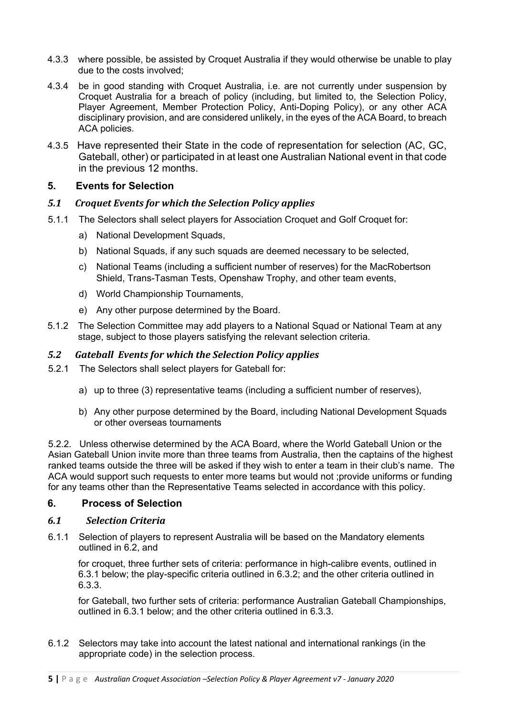- 4.3.3 where possible, be assisted by Croquet Australia if they would otherwise be unable to play due to the costs involved;
- 4.3.4 be in good standing with Croquet Australia, i.e. are not currently under suspension by Croquet Australia for a breach of policy (including, but limited to, the Selection Policy, Player Agreement, Member Protection Policy, Anti-Doping Policy), or any other ACA disciplinary provision, and are considered unlikely, in the eyes of the ACA Board, to breach ACA policies.
- 4.3.5 Have represented their State in the code of representation for selection (AC, GC, Gateball, other) or participated in at least one Australian National event in that code in the previous 12 months.

### **5. Events for Selection**

### *5.1 Croquet Events for which the Selection Policy applies*

- 5.1.1 The Selectors shall select players for Association Croquet and Golf Croquet for:
	- a) National Development Squads,
	- b) National Squads, if any such squads are deemed necessary to be selected,
	- c) National Teams (including a sufficient number of reserves) for the MacRobertson Shield, Trans-Tasman Tests, Openshaw Trophy, and other team events,
	- d) World Championship Tournaments,
	- e) Any other purpose determined by the Board.
- 5.1.2 The Selection Committee may add players to a National Squad or National Team at any stage, subject to those players satisfying the relevant selection criteria.

### *5.2 Gateball Events for which the Selection Policy applies*

- 5.2.1 The Selectors shall select players for Gateball for:
	- a) up to three (3) representative teams (including a sufficient number of reserves),
	- b) Any other purpose determined by the Board, including National Development Squads or other overseas tournaments

5.2.2. Unless otherwise determined by the ACA Board, where the World Gateball Union or the Asian Gateball Union invite more than three teams from Australia, then the captains of the highest ranked teams outside the three will be asked if they wish to enter a team in their club's name. The ACA would support such requests to enter more teams but would not ;provide uniforms or funding for any teams other than the Representative Teams selected in accordance with this policy.

#### **6. Process of Selection**

#### *6.1 Selection Criteria*

6.1.1 Selection of players to represent Australia will be based on the Mandatory elements outlined in 6.2, and

for croquet, three further sets of criteria: performance in high-calibre events, outlined in 6.3.1 below; the play-specific criteria outlined in 6.3.2; and the other criteria outlined in 6.3.3.

for Gateball, two further sets of criteria: performance Australian Gateball Championships, outlined in 6.3.1 below; and the other criteria outlined in 6.3.3.

6.1.2 Selectors may take into account the latest national and international rankings (in the appropriate code) in the selection process.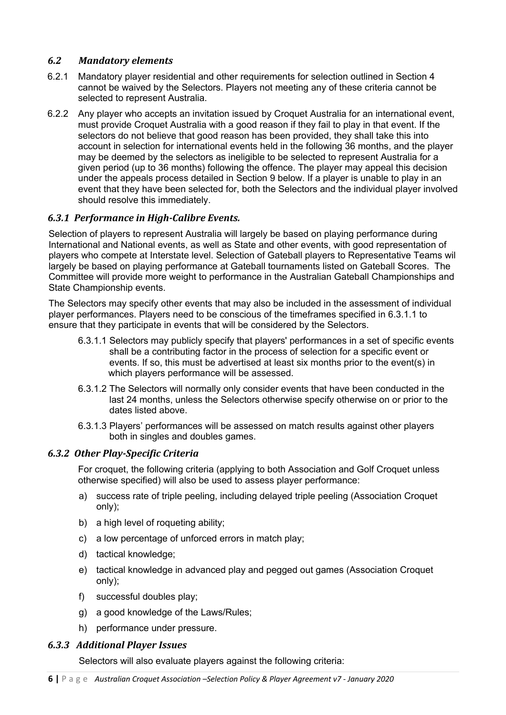### *6.2 Mandatory elements*

- 6.2.1 Mandatory player residential and other requirements for selection outlined in Section 4 cannot be waived by the Selectors. Players not meeting any of these criteria cannot be selected to represent Australia.
- 6.2.2 Any player who accepts an invitation issued by Croquet Australia for an international event, must provide Croquet Australia with a good reason if they fail to play in that event. If the selectors do not believe that good reason has been provided, they shall take this into account in selection for international events held in the following 36 months, and the player may be deemed by the selectors as ineligible to be selected to represent Australia for a given period (up to 36 months) following the offence. The player may appeal this decision under the appeals process detailed in Section 9 below. If a player is unable to play in an event that they have been selected for, both the Selectors and the individual player involved should resolve this immediately.

### *6.3.1 Performance in High-Calibre Events.*

Selection of players to represent Australia will largely be based on playing performance during International and National events, as well as State and other events, with good representation of players who compete at Interstate level. Selection of Gateball players to Representative Teams wil largely be based on playing performance at Gateball tournaments listed on Gateball Scores. The Committee will provide more weight to performance in the Australian Gateball Championships and State Championship events.

The Selectors may specify other events that may also be included in the assessment of individual player performances. Players need to be conscious of the timeframes specified in 6.3.1.1 to ensure that they participate in events that will be considered by the Selectors.

- 6.3.1.1 Selectors may publicly specify that players' performances in a set of specific events shall be a contributing factor in the process of selection for a specific event or events. If so, this must be advertised at least six months prior to the event(s) in which players performance will be assessed.
- 6.3.1.2 The Selectors will normally only consider events that have been conducted in the last 24 months, unless the Selectors otherwise specify otherwise on or prior to the dates listed above.
- 6.3.1.3 Players' performances will be assessed on match results against other players both in singles and doubles games.

### *6.3.2 Other Play-Specific Criteria*

For croquet, the following criteria (applying to both Association and Golf Croquet unless otherwise specified) will also be used to assess player performance:

- a) success rate of triple peeling, including delayed triple peeling (Association Croquet only);
- b) a high level of roqueting ability;
- c) a low percentage of unforced errors in match play;
- d) tactical knowledge;
- e) tactical knowledge in advanced play and pegged out games (Association Croquet only);
- f) successful doubles play;
- g) a good knowledge of the Laws/Rules;
- h) performance under pressure.

### *6.3.3 Additional Player Issues*

Selectors will also evaluate players against the following criteria: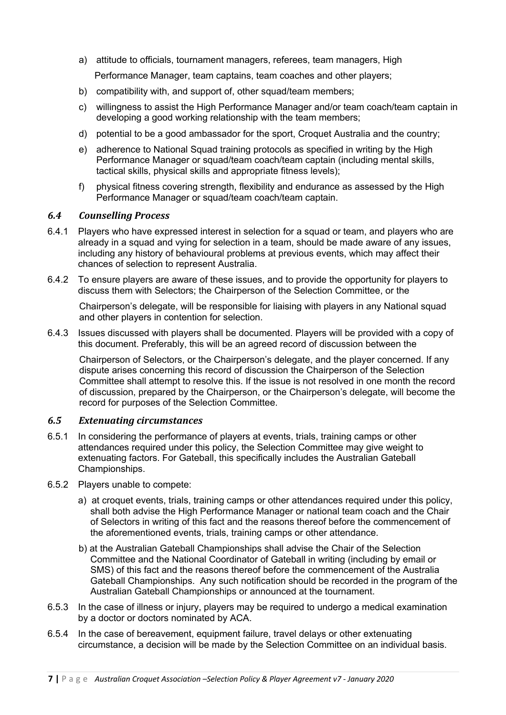- a) attitude to officials, tournament managers, referees, team managers, High Performance Manager, team captains, team coaches and other players;
- b) compatibility with, and support of, other squad/team members;
- c) willingness to assist the High Performance Manager and/or team coach/team captain in developing a good working relationship with the team members:
- d) potential to be a good ambassador for the sport, Croquet Australia and the country;
- e) adherence to National Squad training protocols as specified in writing by the High Performance Manager or squad/team coach/team captain (including mental skills, tactical skills, physical skills and appropriate fitness levels);
- f) physical fitness covering strength, flexibility and endurance as assessed by the High Performance Manager or squad/team coach/team captain.

### **6.4** *Counselling Process*

- 6.4.1 Players who have expressed interest in selection for a squad or team, and players who are already in a squad and vying for selection in a team, should be made aware of any issues, including any history of behavioural problems at previous events, which may affect their chances of selection to represent Australia.
- 6.4.2 To ensure players are aware of these issues, and to provide the opportunity for players to discuss them with Selectors; the Chairperson of the Selection Committee, or the

Chairperson's delegate, will be responsible for liaising with players in any National squad and other players in contention for selection.

6.4.3 Issues discussed with players shall be documented. Players will be provided with a copy of this document. Preferably, this will be an agreed record of discussion between the

Chairperson of Selectors, or the Chairperson's delegate, and the player concerned. If any dispute arises concerning this record of discussion the Chairperson of the Selection Committee shall attempt to resolve this. If the issue is not resolved in one month the record of discussion, prepared by the Chairperson, or the Chairperson's delegate, will become the record for purposes of the Selection Committee.

#### *6.5 Extenuating circumstances*

- 6.5.1 In considering the performance of players at events, trials, training camps or other attendances required under this policy, the Selection Committee may give weight to extenuating factors. For Gateball, this specifically includes the Australian Gateball Championships.
- 6.5.2 Players unable to compete:
	- a) at croquet events, trials, training camps or other attendances required under this policy, shall both advise the High Performance Manager or national team coach and the Chair of Selectors in writing of this fact and the reasons thereof before the commencement of the aforementioned events, trials, training camps or other attendance.
	- b) at the Australian Gateball Championships shall advise the Chair of the Selection Committee and the National Coordinator of Gateball in writing (including by email or SMS) of this fact and the reasons thereof before the commencement of the Australia Gateball Championships. Any such notification should be recorded in the program of the Australian Gateball Championships or announced at the tournament.
- 6.5.3 In the case of illness or injury, players may be required to undergo a medical examination by a doctor or doctors nominated by ACA.
- 6.5.4 In the case of bereavement, equipment failure, travel delays or other extenuating circumstance, a decision will be made by the Selection Committee on an individual basis.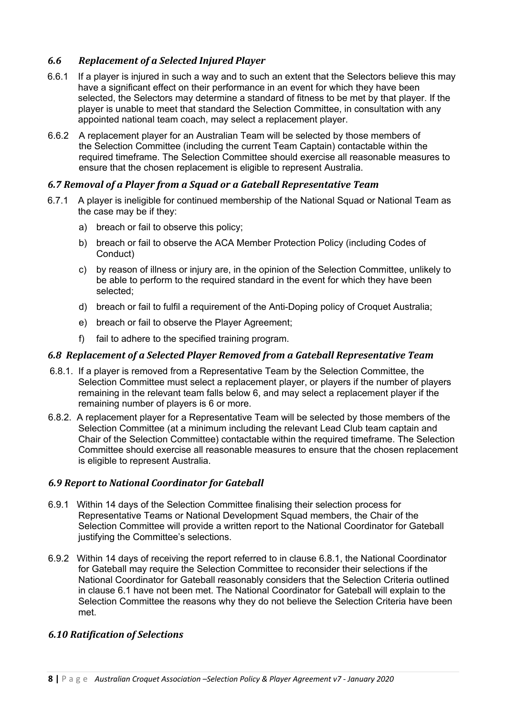### *6.6 Replacement of a Selected Injured Player*

- 6.6.1 If a player is injured in such a way and to such an extent that the Selectors believe this may have a significant effect on their performance in an event for which they have been selected, the Selectors may determine a standard of fitness to be met by that player. If the player is unable to meet that standard the Selection Committee, in consultation with any appointed national team coach, may select a replacement player.
- 6.6.2 A replacement player for an Australian Team will be selected by those members of the Selection Committee (including the current Team Captain) contactable within the required timeframe. The Selection Committee should exercise all reasonable measures to ensure that the chosen replacement is eligible to represent Australia.

### *6.7 Removal of a Player from a Squad or a Gateball Representative Team*

- 6.7.1 A player is ineligible for continued membership of the National Squad or National Team as the case may be if they:
	- a) breach or fail to observe this policy;
	- b) breach or fail to observe the ACA Member Protection Policy (including Codes of Conduct)
	- c) by reason of illness or injury are, in the opinion of the Selection Committee, unlikely to be able to perform to the required standard in the event for which they have been selected;
	- d) breach or fail to fulfil a requirement of the Anti-Doping policy of Croquet Australia;
	- e) breach or fail to observe the Player Agreement;
	- f) fail to adhere to the specified training program.

### *6.8 Replacement of a Selected Player Removed from a Gateball Representative Team*

- 6.8.1. If a player is removed from a Representative Team by the Selection Committee, the Selection Committee must select a replacement player, or players if the number of players remaining in the relevant team falls below 6, and may select a replacement player if the remaining number of players is 6 or more.
- 6.8.2. A replacement player for a Representative Team will be selected by those members of the Selection Committee (at a minimum including the relevant Lead Club team captain and Chair of the Selection Committee) contactable within the required timeframe. The Selection Committee should exercise all reasonable measures to ensure that the chosen replacement is eligible to represent Australia.

### *6.9 Report to National Coordinator for Gateball*

- 6.9.1 Within 14 days of the Selection Committee finalising their selection process for Representative Teams or National Development Squad members, the Chair of the Selection Committee will provide a written report to the National Coordinator for Gateball justifying the Committee's selections.
- 6.9.2 Within 14 days of receiving the report referred to in clause 6.8.1, the National Coordinator for Gateball may require the Selection Committee to reconsider their selections if the National Coordinator for Gateball reasonably considers that the Selection Criteria outlined in clause 6.1 have not been met. The National Coordinator for Gateball will explain to the Selection Committee the reasons why they do not believe the Selection Criteria have been met.

### *6.10 Ratification of Selections*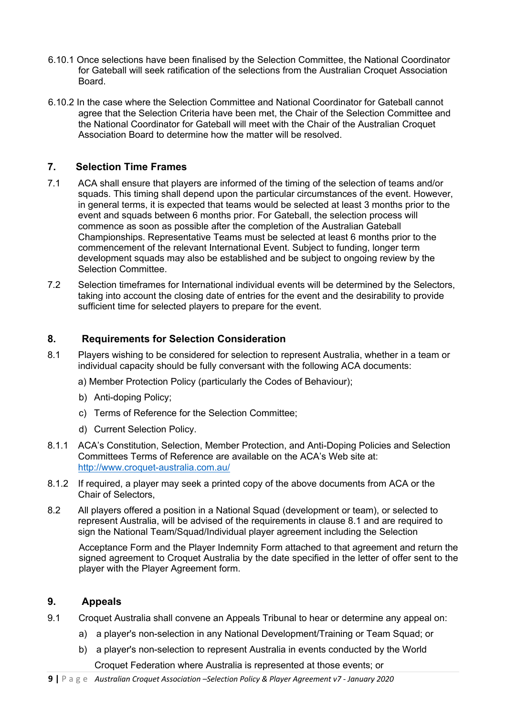- 6.10.1 Once selections have been finalised by the Selection Committee, the National Coordinator for Gateball will seek ratification of the selections from the Australian Croquet Association Board.
- 6.10.2 In the case where the Selection Committee and National Coordinator for Gateball cannot agree that the Selection Criteria have been met, the Chair of the Selection Committee and the National Coordinator for Gateball will meet with the Chair of the Australian Croquet Association Board to determine how the matter will be resolved.

### **7. Selection Time Frames**

- 7.1 ACA shall ensure that players are informed of the timing of the selection of teams and/or squads. This timing shall depend upon the particular circumstances of the event. However, in general terms, it is expected that teams would be selected at least 3 months prior to the event and squads between 6 months prior. For Gateball, the selection process will commence as soon as possible after the completion of the Australian Gateball Championships. Representative Teams must be selected at least 6 months prior to the commencement of the relevant International Event. Subject to funding, longer term development squads may also be established and be subject to ongoing review by the Selection Committee.
- 7.2 Selection timeframes for International individual events will be determined by the Selectors, taking into account the closing date of entries for the event and the desirability to provide sufficient time for selected players to prepare for the event.

### **8. Requirements for Selection Consideration**

- 8.1 Players wishing to be considered for selection to represent Australia, whether in a team or individual capacity should be fully conversant with the following ACA documents:
	- a) Member Protection Policy (particularly the Codes of Behaviour);
	- b) Anti-doping Policy;
	- c) Terms of Reference for the Selection Committee;
	- d) Current Selection Policy.
- 8.1.1 ACA's Constitution, Selection, Member Protection, and Anti-Doping Policies and Selection Committees Terms of Reference are available on the ACA's Web site at: http://www.croquet-australia.com.au/
- 8.1.2 If required, a player may seek a printed copy of the above documents from ACA or the Chair of Selectors,
- 8.2 All players offered a position in a National Squad (development or team), or selected to represent Australia, will be advised of the requirements in clause 8.1 and are required to sign the National Team/Squad/Individual player agreement including the Selection

Acceptance Form and the Player Indemnity Form attached to that agreement and return the signed agreement to Croquet Australia by the date specified in the letter of offer sent to the player with the Player Agreement form.

### **9. Appeals**

- 9.1 Croquet Australia shall convene an Appeals Tribunal to hear or determine any appeal on:
	- a) a player's non-selection in any National Development/Training or Team Squad; or
	- b) a player's non-selection to represent Australia in events conducted by the World Croquet Federation where Australia is represented at those events; or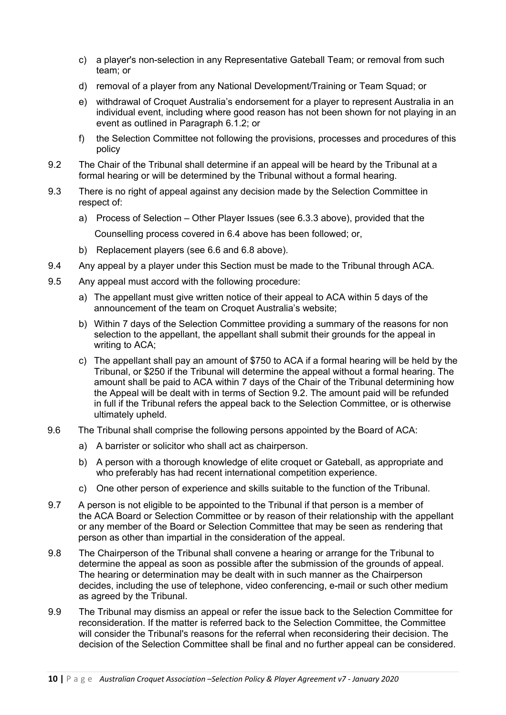- c) a player's non-selection in any Representative Gateball Team; or removal from such team; or
- d) removal of a player from any National Development/Training or Team Squad; or
- e) withdrawal of Croquet Australia's endorsement for a player to represent Australia in an individual event, including where good reason has not been shown for not playing in an event as outlined in Paragraph 6.1.2; or
- f) the Selection Committee not following the provisions, processes and procedures of this policy
- 9.2 The Chair of the Tribunal shall determine if an appeal will be heard by the Tribunal at a formal hearing or will be determined by the Tribunal without a formal hearing.
- 9.3 There is no right of appeal against any decision made by the Selection Committee in respect of:
	- a) Process of Selection Other Player Issues (see 6.3.3 above), provided that the Counselling process covered in 6.4 above has been followed; or,
	- b) Replacement players (see 6.6 and 6.8 above).
- 9.4 Any appeal by a player under this Section must be made to the Tribunal through ACA.
- 9.5 Any appeal must accord with the following procedure:
	- a) The appellant must give written notice of their appeal to ACA within 5 days of the announcement of the team on Croquet Australia's website;
	- b) Within 7 days of the Selection Committee providing a summary of the reasons for non selection to the appellant, the appellant shall submit their grounds for the appeal in writing to ACA;
	- c) The appellant shall pay an amount of \$750 to ACA if a formal hearing will be held by the Tribunal, or \$250 if the Tribunal will determine the appeal without a formal hearing. The amount shall be paid to ACA within 7 days of the Chair of the Tribunal determining how the Appeal will be dealt with in terms of Section 9.2. The amount paid will be refunded in full if the Tribunal refers the appeal back to the Selection Committee, or is otherwise ultimately upheld.
- 9.6 The Tribunal shall comprise the following persons appointed by the Board of ACA:
	- a) A barrister or solicitor who shall act as chairperson.
	- b) A person with a thorough knowledge of elite croquet or Gateball, as appropriate and who preferably has had recent international competition experience.
	- c) One other person of experience and skills suitable to the function of the Tribunal.
- 9.7 A person is not eligible to be appointed to the Tribunal if that person is a member of the ACA Board or Selection Committee or by reason of their relationship with the appellant or any member of the Board or Selection Committee that may be seen as rendering that person as other than impartial in the consideration of the appeal.
- 9.8 The Chairperson of the Tribunal shall convene a hearing or arrange for the Tribunal to determine the appeal as soon as possible after the submission of the grounds of appeal. The hearing or determination may be dealt with in such manner as the Chairperson decides, including the use of telephone, video conferencing, e-mail or such other medium as agreed by the Tribunal.
- 9.9 The Tribunal may dismiss an appeal or refer the issue back to the Selection Committee for reconsideration. If the matter is referred back to the Selection Committee, the Committee will consider the Tribunal's reasons for the referral when reconsidering their decision. The decision of the Selection Committee shall be final and no further appeal can be considered.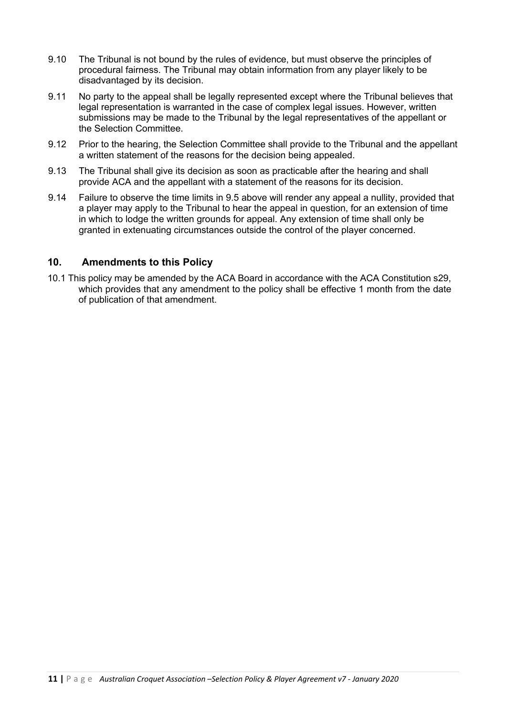- 9.10 The Tribunal is not bound by the rules of evidence, but must observe the principles of procedural fairness. The Tribunal may obtain information from any player likely to be disadvantaged by its decision.
- 9.11 No party to the appeal shall be legally represented except where the Tribunal believes that legal representation is warranted in the case of complex legal issues. However, written submissions may be made to the Tribunal by the legal representatives of the appellant or the Selection Committee.
- 9.12 Prior to the hearing, the Selection Committee shall provide to the Tribunal and the appellant a written statement of the reasons for the decision being appealed.
- 9.13 The Tribunal shall give its decision as soon as practicable after the hearing and shall provide ACA and the appellant with a statement of the reasons for its decision.
- 9.14 Failure to observe the time limits in 9.5 above will render any appeal a nullity, provided that a player may apply to the Tribunal to hear the appeal in question, for an extension of time in which to lodge the written grounds for appeal. Any extension of time shall only be granted in extenuating circumstances outside the control of the player concerned.

### **10. Amendments to this Policy**

10.1 This policy may be amended by the ACA Board in accordance with the ACA Constitution s29, which provides that any amendment to the policy shall be effective 1 month from the date of publication of that amendment.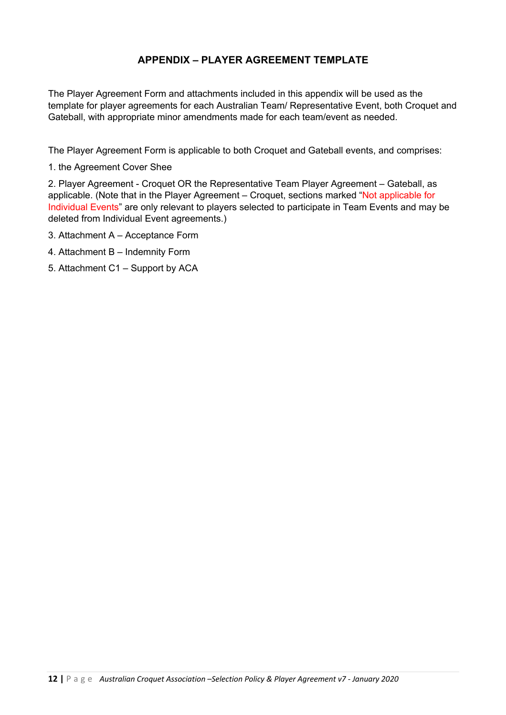### **APPENDIX – PLAYER AGREEMENT TEMPLATE**

The Player Agreement Form and attachments included in this appendix will be used as the template for player agreements for each Australian Team/ Representative Event, both Croquet and Gateball, with appropriate minor amendments made for each team/event as needed.

The Player Agreement Form is applicable to both Croquet and Gateball events, and comprises:

1. the Agreement Cover Shee

2. Player Agreement - Croquet OR the Representative Team Player Agreement – Gateball, as applicable. (Note that in the Player Agreement – Croquet, sections marked "Not applicable for Individual Events" are only relevant to players selected to participate in Team Events and may be deleted from Individual Event agreements.)

- 3. Attachment A Acceptance Form
- 4. Attachment B Indemnity Form
- 5. Attachment C1 Support by ACA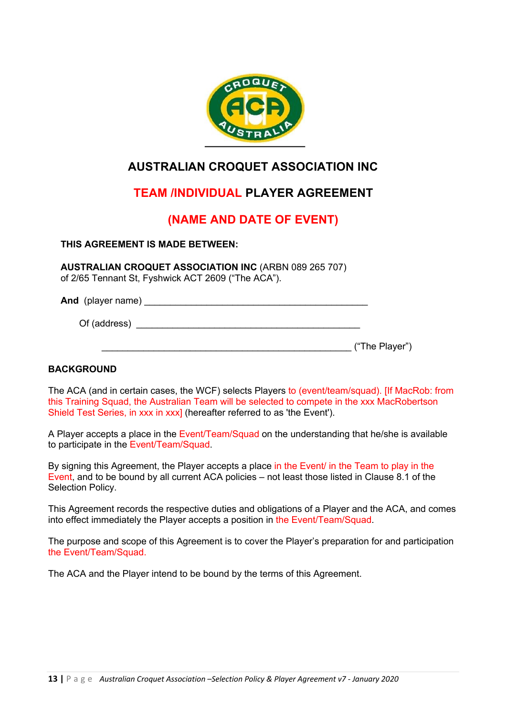

# **AUSTRALIAN CROQUET ASSOCIATION INC**

# **TEAM /INDIVIDUAL PLAYER AGREEMENT**

# **(NAME AND DATE OF EVENT)**

### **THIS AGREEMENT IS MADE BETWEEN:**

**AUSTRALIAN CROQUET ASSOCIATION INC** (ARBN 089 265 707) of 2/65 Tennant St, Fyshwick ACT 2609 ("The ACA").

And (player name) Of (address)

\_\_\_\_\_\_\_\_\_\_\_\_\_\_\_\_\_\_\_\_\_\_\_\_\_\_\_\_\_\_\_\_\_\_\_\_\_\_\_\_\_\_\_\_\_\_\_\_ ("The Player")

#### **BACKGROUND**

The ACA (and in certain cases, the WCF) selects Players to (event/team/squad). [If MacRob: from this Training Squad, the Australian Team will be selected to compete in the xxx MacRobertson Shield Test Series, in xxx in xxx] (hereafter referred to as 'the Event').

A Player accepts a place in the Event/Team/Squad on the understanding that he/she is available to participate in the Event/Team/Squad.

By signing this Agreement, the Player accepts a place in the Event/ in the Team to play in the Event, and to be bound by all current ACA policies – not least those listed in Clause 8.1 of the Selection Policy.

This Agreement records the respective duties and obligations of a Player and the ACA, and comes into effect immediately the Player accepts a position in the Event/Team/Squad.

The purpose and scope of this Agreement is to cover the Player's preparation for and participation the Event/Team/Squad.

The ACA and the Player intend to be bound by the terms of this Agreement.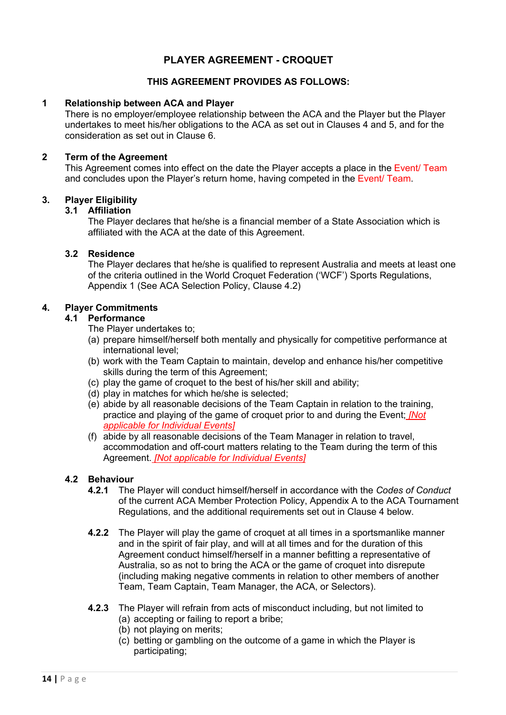### **PLAYER AGREEMENT - CROQUET**

### **THIS AGREEMENT PROVIDES AS FOLLOWS:**

#### **1 Relationship between ACA and Player**

There is no employer/employee relationship between the ACA and the Player but the Player undertakes to meet his/her obligations to the ACA as set out in Clauses 4 and 5, and for the consideration as set out in Clause 6.

#### **2 Term of the Agreement**

This Agreement comes into effect on the date the Player accepts a place in the Event/ Team and concludes upon the Player's return home, having competed in the Event/ Team.

#### **3. Player Eligibility**

#### **3.1 Affiliation**

The Player declares that he/she is a financial member of a State Association which is affiliated with the ACA at the date of this Agreement.

### **3.2 Residence**

The Player declares that he/she is qualified to represent Australia and meets at least one of the criteria outlined in the World Croquet Federation ('WCF') Sports Regulations, Appendix 1 (See ACA Selection Policy, Clause 4.2)

#### **4. Player Commitments**

#### **4.1 Performance**

The Player undertakes to;

- (a) prepare himself/herself both mentally and physically for competitive performance at international level;
- (b) work with the Team Captain to maintain, develop and enhance his/her competitive skills during the term of this Agreement;
- (c) play the game of croquet to the best of his/her skill and ability;
- (d) play in matches for which he/she is selected;
- (e) abide by all reasonable decisions of the Team Captain in relation to the training, practice and playing of the game of croquet prior to and during the Event; *[Not applicable for Individual Events]*
- (f) abide by all reasonable decisions of the Team Manager in relation to travel, accommodation and off-court matters relating to the Team during the term of this Agreement. *[Not applicable for Individual Events]*

#### **4.2 Behaviour**

- **4.2.1** The Player will conduct himself/herself in accordance with the *Codes of Conduct*  of the current ACA Member Protection Policy, Appendix A to the ACA Tournament Regulations, and the additional requirements set out in Clause 4 below.
- **4.2.2** The Player will play the game of croquet at all times in a sportsmanlike manner and in the spirit of fair play, and will at all times and for the duration of this Agreement conduct himself/herself in a manner befitting a representative of Australia, so as not to bring the ACA or the game of croquet into disrepute (including making negative comments in relation to other members of another Team, Team Captain, Team Manager, the ACA, or Selectors).
- **4.2.3** The Player will refrain from acts of misconduct including, but not limited to (a) accepting or failing to report a bribe;
	- (b) not playing on merits;
	- (c) betting or gambling on the outcome of a game in which the Player is participating;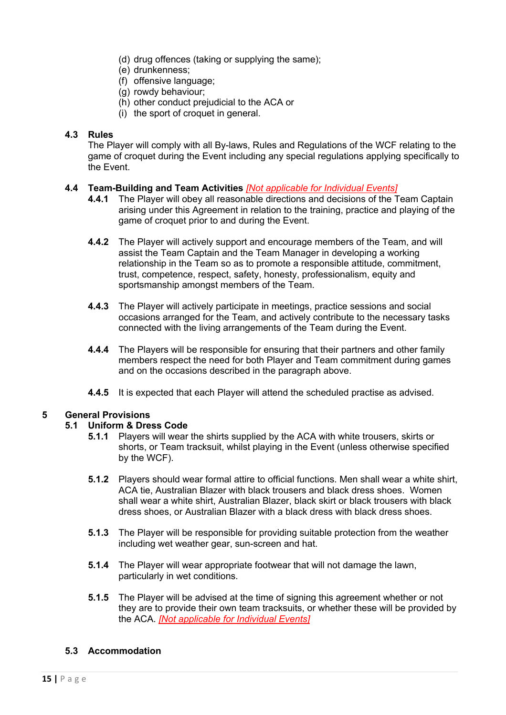- (d) drug offences (taking or supplying the same);
- (e) drunkenness;
- (f) offensive language;
- (g) rowdy behaviour;
- (h) other conduct prejudicial to the ACA or
- (i) the sport of croquet in general.

### **4.3 Rules**

The Player will comply with all By-laws, Rules and Regulations of the WCF relating to the game of croquet during the Event including any special regulations applying specifically to the Event.

### **4.4 Team-Building and Team Activities** *[Not applicable for Individual Events]*

- **4.4.1** The Player will obey all reasonable directions and decisions of the Team Captain arising under this Agreement in relation to the training, practice and playing of the game of croquet prior to and during the Event.
- **4.4.2** The Player will actively support and encourage members of the Team, and will assist the Team Captain and the Team Manager in developing a working relationship in the Team so as to promote a responsible attitude, commitment, trust, competence, respect, safety, honesty, professionalism, equity and sportsmanship amongst members of the Team.
- **4.4.3** The Player will actively participate in meetings, practice sessions and social occasions arranged for the Team, and actively contribute to the necessary tasks connected with the living arrangements of the Team during the Event.
- **4.4.4** The Players will be responsible for ensuring that their partners and other family members respect the need for both Player and Team commitment during games and on the occasions described in the paragraph above.
- **4.4.5** It is expected that each Player will attend the scheduled practise as advised.

### **5 General Provisions**

#### **5.1 Uniform & Dress Code**

- **5.1.1** Players will wear the shirts supplied by the ACA with white trousers, skirts or shorts, or Team tracksuit, whilst playing in the Event (unless otherwise specified by the WCF).
- **5.1.2** Players should wear formal attire to official functions. Men shall wear a white shirt, ACA tie, Australian Blazer with black trousers and black dress shoes. Women shall wear a white shirt, Australian Blazer, black skirt or black trousers with black dress shoes, or Australian Blazer with a black dress with black dress shoes.
- **5.1.3** The Player will be responsible for providing suitable protection from the weather including wet weather gear, sun-screen and hat.
- **5.1.4** The Player will wear appropriate footwear that will not damage the lawn, particularly in wet conditions.
- **5.1.5** The Player will be advised at the time of signing this agreement whether or not they are to provide their own team tracksuits, or whether these will be provided by the ACA. *[Not applicable for Individual Events]*

### **5.3 Accommodation**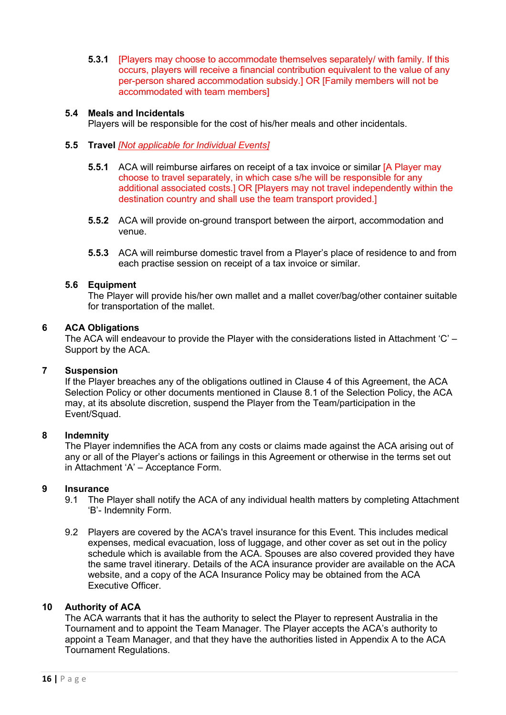**5.3.1** [Players may choose to accommodate themselves separately/ with family. If this occurs, players will receive a financial contribution equivalent to the value of any per-person shared accommodation subsidy.] OR [Family members will not be accommodated with team members]

#### **5.4 Meals and Incidentals**

Players will be responsible for the cost of his/her meals and other incidentals.

#### **5.5 Travel** *[Not applicable for Individual Events]*

- **5.5.1** ACA will reimburse airfares on receipt of a tax invoice or similar [A Player may choose to travel separately, in which case s/he will be responsible for any additional associated costs.] OR [Players may not travel independently within the destination country and shall use the team transport provided.]
- **5.5.2** ACA will provide on-ground transport between the airport, accommodation and venue.
- **5.5.3** ACA will reimburse domestic travel from a Player's place of residence to and from each practise session on receipt of a tax invoice or similar.

#### **5.6 Equipment**

The Player will provide his/her own mallet and a mallet cover/bag/other container suitable for transportation of the mallet.

#### **6 ACA Obligations**

The ACA will endeavour to provide the Player with the considerations listed in Attachment 'C' – Support by the ACA.

#### **7 Suspension**

If the Player breaches any of the obligations outlined in Clause 4 of this Agreement, the ACA Selection Policy or other documents mentioned in Clause 8.1 of the Selection Policy, the ACA may, at its absolute discretion, suspend the Player from the Team/participation in the Event/Squad.

#### **8 Indemnity**

The Player indemnifies the ACA from any costs or claims made against the ACA arising out of any or all of the Player's actions or failings in this Agreement or otherwise in the terms set out in Attachment 'A' – Acceptance Form.

#### **9 Insurance**

- 9.1 The Player shall notify the ACA of any individual health matters by completing Attachment 'B'- Indemnity Form.
- 9.2 Players are covered by the ACA's travel insurance for this Event. This includes medical expenses, medical evacuation, loss of luggage, and other cover as set out in the policy schedule which is available from the ACA. Spouses are also covered provided they have the same travel itinerary. Details of the ACA insurance provider are available on the ACA website, and a copy of the ACA Insurance Policy may be obtained from the ACA Executive Officer.

#### **10 Authority of ACA**

The ACA warrants that it has the authority to select the Player to represent Australia in the Tournament and to appoint the Team Manager. The Player accepts the ACA's authority to appoint a Team Manager, and that they have the authorities listed in Appendix A to the ACA Tournament Regulations.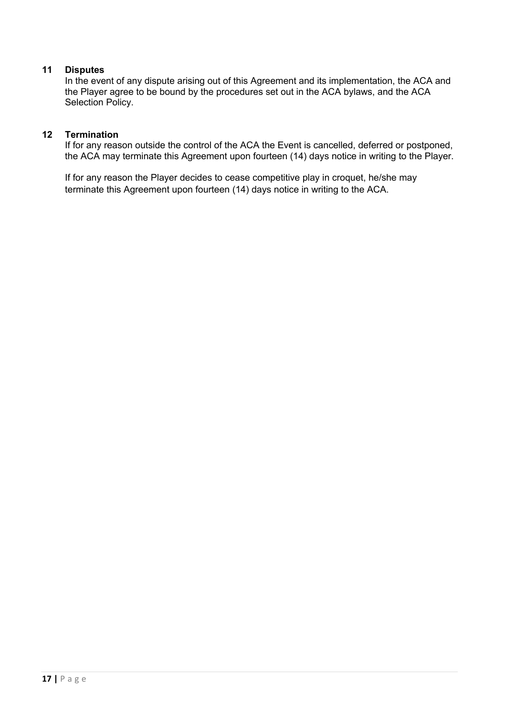### **11 Disputes**

In the event of any dispute arising out of this Agreement and its implementation, the ACA and the Player agree to be bound by the procedures set out in the ACA bylaws, and the ACA Selection Policy.

#### **12 Termination**

If for any reason outside the control of the ACA the Event is cancelled, deferred or postponed, the ACA may terminate this Agreement upon fourteen (14) days notice in writing to the Player.

If for any reason the Player decides to cease competitive play in croquet, he/she may terminate this Agreement upon fourteen (14) days notice in writing to the ACA.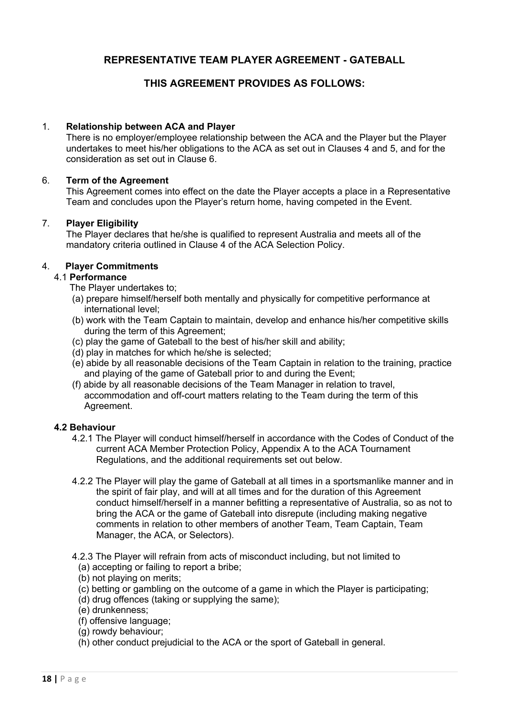### **REPRESENTATIVE TEAM PLAYER AGREEMENT - GATEBALL**

### **THIS AGREEMENT PROVIDES AS FOLLOWS:**

#### 1. **Relationship between ACA and Player**

There is no employer/employee relationship between the ACA and the Player but the Player undertakes to meet his/her obligations to the ACA as set out in Clauses 4 and 5, and for the consideration as set out in Clause 6.

#### 6. **Term of the Agreement**

This Agreement comes into effect on the date the Player accepts a place in a Representative Team and concludes upon the Player's return home, having competed in the Event.

#### 7. **Player Eligibility**

The Player declares that he/she is qualified to represent Australia and meets all of the mandatory criteria outlined in Clause 4 of the ACA Selection Policy.

#### 4. **Player Commitments**

#### 4.1 **Performance**

The Player undertakes to;

- (a) prepare himself/herself both mentally and physically for competitive performance at international level;
- (b) work with the Team Captain to maintain, develop and enhance his/her competitive skills during the term of this Agreement;
- (c) play the game of Gateball to the best of his/her skill and ability;
- (d) play in matches for which he/she is selected;
- (e) abide by all reasonable decisions of the Team Captain in relation to the training, practice and playing of the game of Gateball prior to and during the Event;
- (f) abide by all reasonable decisions of the Team Manager in relation to travel, accommodation and off-court matters relating to the Team during the term of this Agreement.

#### **4.2 Behaviour**

- 4.2.1 The Player will conduct himself/herself in accordance with the Codes of Conduct of the current ACA Member Protection Policy, Appendix A to the ACA Tournament Regulations, and the additional requirements set out below.
- 4.2.2 The Player will play the game of Gateball at all times in a sportsmanlike manner and in the spirit of fair play, and will at all times and for the duration of this Agreement conduct himself/herself in a manner befitting a representative of Australia, so as not to bring the ACA or the game of Gateball into disrepute (including making negative comments in relation to other members of another Team, Team Captain, Team Manager, the ACA, or Selectors).

4.2.3 The Player will refrain from acts of misconduct including, but not limited to

- (a) accepting or failing to report a bribe;
- (b) not playing on merits;
- (c) betting or gambling on the outcome of a game in which the Player is participating;
- (d) drug offences (taking or supplying the same);
- (e) drunkenness;
- (f) offensive language;
- (g) rowdy behaviour;
- (h) other conduct prejudicial to the ACA or the sport of Gateball in general.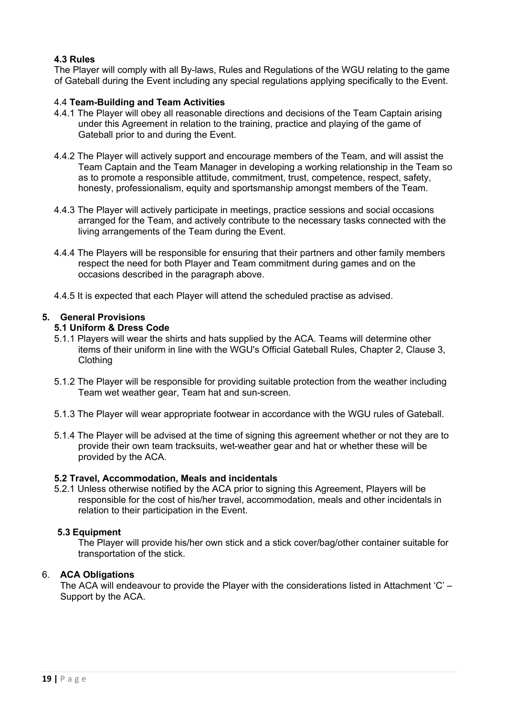### **4.3 Rules**

The Player will comply with all By-laws, Rules and Regulations of the WGU relating to the game of Gateball during the Event including any special regulations applying specifically to the Event.

### 4.4 **Team-Building and Team Activities**

- 4.4.1 The Player will obey all reasonable directions and decisions of the Team Captain arising under this Agreement in relation to the training, practice and playing of the game of Gateball prior to and during the Event.
- 4.4.2 The Player will actively support and encourage members of the Team, and will assist the Team Captain and the Team Manager in developing a working relationship in the Team so as to promote a responsible attitude, commitment, trust, competence, respect, safety, honesty, professionalism, equity and sportsmanship amongst members of the Team.
- 4.4.3 The Player will actively participate in meetings, practice sessions and social occasions arranged for the Team, and actively contribute to the necessary tasks connected with the living arrangements of the Team during the Event.
- 4.4.4 The Players will be responsible for ensuring that their partners and other family members respect the need for both Player and Team commitment during games and on the occasions described in the paragraph above.
- 4.4.5 It is expected that each Player will attend the scheduled practise as advised.

#### **5. General Provisions**

#### **5.1 Uniform & Dress Code**

- 5.1.1 Players will wear the shirts and hats supplied by the ACA. Teams will determine other items of their uniform in line with the WGU's Official Gateball Rules, Chapter 2, Clause 3, **Clothing**
- 5.1.2 The Player will be responsible for providing suitable protection from the weather including Team wet weather gear, Team hat and sun-screen.
- 5.1.3 The Player will wear appropriate footwear in accordance with the WGU rules of Gateball.
- 5.1.4 The Player will be advised at the time of signing this agreement whether or not they are to provide their own team tracksuits, wet-weather gear and hat or whether these will be provided by the ACA.

#### **5.2 Travel, Accommodation, Meals and incidentals**

5.2.1 Unless otherwise notified by the ACA prior to signing this Agreement, Players will be responsible for the cost of his/her travel, accommodation, meals and other incidentals in relation to their participation in the Event.

#### **5.3 Equipment**

The Player will provide his/her own stick and a stick cover/bag/other container suitable for transportation of the stick.

#### 6. **ACA Obligations**

The ACA will endeavour to provide the Player with the considerations listed in Attachment 'C' – Support by the ACA.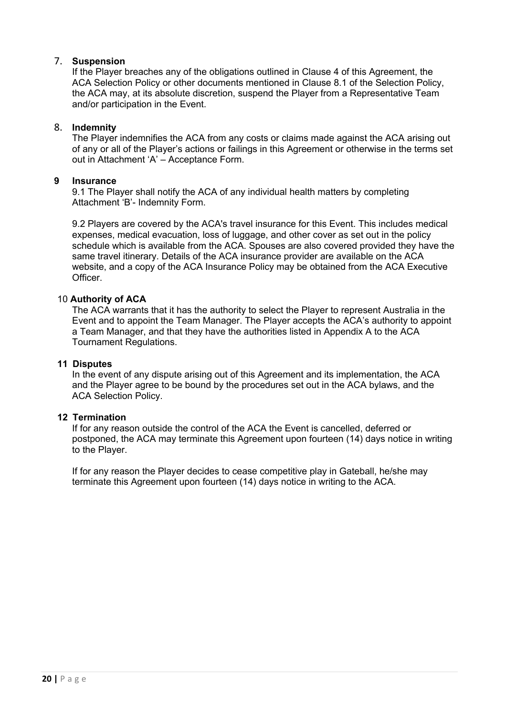### 7. **Suspension**

If the Player breaches any of the obligations outlined in Clause 4 of this Agreement, the ACA Selection Policy or other documents mentioned in Clause 8.1 of the Selection Policy, the ACA may, at its absolute discretion, suspend the Player from a Representative Team and/or participation in the Event.

#### 8. **Indemnity**

The Player indemnifies the ACA from any costs or claims made against the ACA arising out of any or all of the Player's actions or failings in this Agreement or otherwise in the terms set out in Attachment 'A' – Acceptance Form.

#### **9 Insurance**

9.1 The Player shall notify the ACA of any individual health matters by completing Attachment 'B'- Indemnity Form.

9.2 Players are covered by the ACA's travel insurance for this Event. This includes medical expenses, medical evacuation, loss of luggage, and other cover as set out in the policy schedule which is available from the ACA. Spouses are also covered provided they have the same travel itinerary. Details of the ACA insurance provider are available on the ACA website, and a copy of the ACA Insurance Policy may be obtained from the ACA Executive **Officer** 

#### 10 **Authority of ACA**

The ACA warrants that it has the authority to select the Player to represent Australia in the Event and to appoint the Team Manager. The Player accepts the ACA's authority to appoint a Team Manager, and that they have the authorities listed in Appendix A to the ACA Tournament Regulations.

#### **11 Disputes**

In the event of any dispute arising out of this Agreement and its implementation, the ACA and the Player agree to be bound by the procedures set out in the ACA bylaws, and the ACA Selection Policy.

#### **12 Termination**

If for any reason outside the control of the ACA the Event is cancelled, deferred or postponed, the ACA may terminate this Agreement upon fourteen (14) days notice in writing to the Player.

If for any reason the Player decides to cease competitive play in Gateball, he/she may terminate this Agreement upon fourteen (14) days notice in writing to the ACA.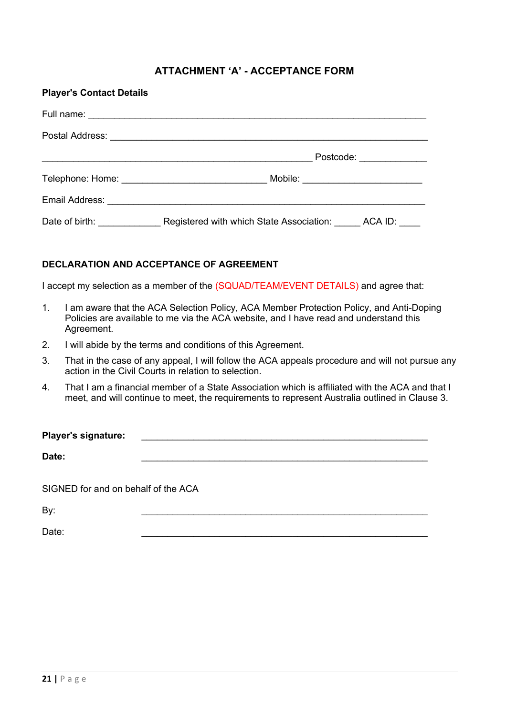### **ATTACHMENT 'A' - ACCEPTANCE FORM**

| <b>Player's Contact Details</b> |                                          |                                  |  |  |
|---------------------------------|------------------------------------------|----------------------------------|--|--|
|                                 |                                          |                                  |  |  |
|                                 |                                          |                                  |  |  |
|                                 |                                          | Postcode: <u>_____________</u>   |  |  |
|                                 |                                          | Mobile: ________________________ |  |  |
|                                 |                                          |                                  |  |  |
| Date of birth: Date of birth:   | Registered with which State Association: | ACA ID:                          |  |  |

### **DECLARATION AND ACCEPTANCE OF AGREEMENT**

I accept my selection as a member of the (SQUAD/TEAM/EVENT DETAILS) and agree that:

- 1. I am aware that the ACA Selection Policy, ACA Member Protection Policy, and Anti-Doping Policies are available to me via the ACA website, and I have read and understand this Agreement.
- 2. I will abide by the terms and conditions of this Agreement.
- 3. That in the case of any appeal, I will follow the ACA appeals procedure and will not pursue any action in the Civil Courts in relation to selection.
- 4. That I am a financial member of a State Association which is affiliated with the ACA and that I meet, and will continue to meet, the requirements to represent Australia outlined in Clause 3.

| <b>Player's signature:</b>          |  |  |  |
|-------------------------------------|--|--|--|
| Date:                               |  |  |  |
| SIGNED for and on behalf of the ACA |  |  |  |
| By:                                 |  |  |  |

Date: \_\_\_\_\_\_\_\_\_\_\_\_\_\_\_\_\_\_\_\_\_\_\_\_\_\_\_\_\_\_\_\_\_\_\_\_\_\_\_\_\_\_\_\_\_\_\_\_\_\_\_\_\_\_\_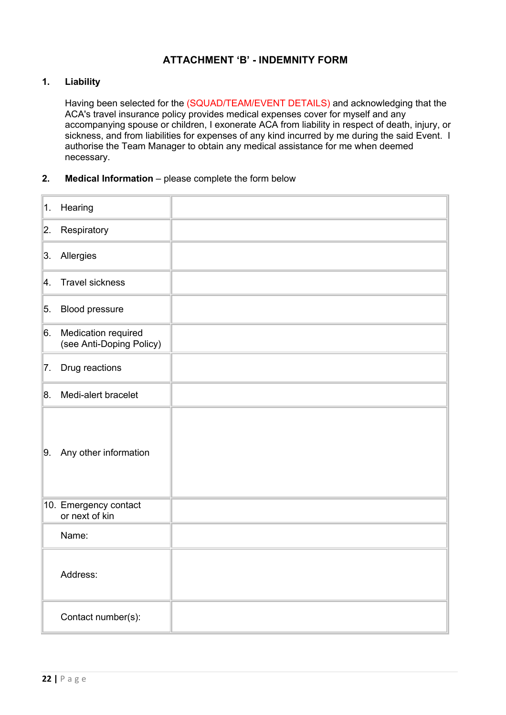### **ATTACHMENT 'B' - INDEMNITY FORM**

#### **1. Liability**

Having been selected for the (SQUAD/TEAM/EVENT DETAILS) and acknowledging that the ACA's travel insurance policy provides medical expenses cover for myself and any accompanying spouse or children, I exonerate ACA from liability in respect of death, injury, or sickness, and from liabilities for expenses of any kind incurred by me during the said Event. I authorise the Team Manager to obtain any medical assistance for me when deemed necessary.

#### **2. Medical Information** – please complete the form below

| $\vert$ 1. | Hearing                                         |  |
|------------|-------------------------------------------------|--|
| 2.         | Respiratory                                     |  |
| 3.         | Allergies                                       |  |
| 4.         | <b>Travel sickness</b>                          |  |
| 5.         | Blood pressure                                  |  |
| 6.         | Medication required<br>(see Anti-Doping Policy) |  |
| 7.         | Drug reactions                                  |  |
| 8.         | Medi-alert bracelet                             |  |
| 9.         | Any other information                           |  |
|            | 10. Emergency contact<br>or next of kin         |  |
|            | Name:                                           |  |
|            | Address:                                        |  |
|            | Contact number(s):                              |  |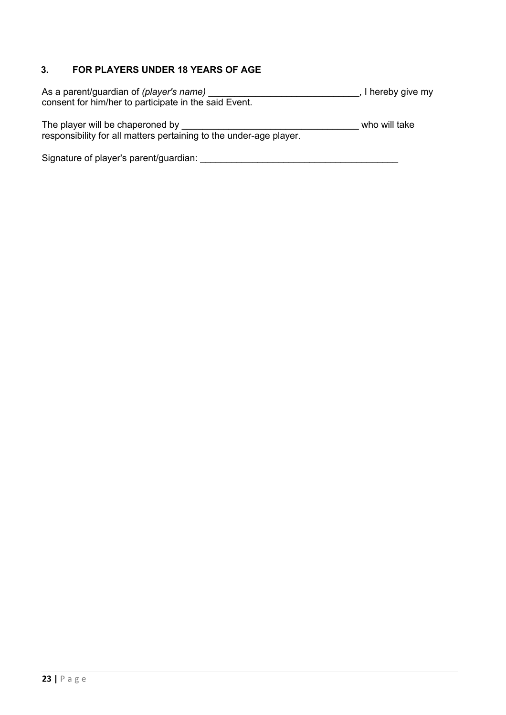### **3. FOR PLAYERS UNDER 18 YEARS OF AGE**

| As a parent/guardian of (player's name)               | , I hereby give my |
|-------------------------------------------------------|--------------------|
| consent for him/her to participate in the said Event. |                    |

The player will be chaperoned by \_\_\_\_\_\_\_\_\_\_\_\_\_\_\_\_\_\_\_\_\_\_\_\_\_\_\_\_\_\_\_\_\_\_ who will take responsibility for all matters pertaining to the under-age player.

Signature of player's parent/guardian: \_\_\_\_\_\_\_\_\_\_\_\_\_\_\_\_\_\_\_\_\_\_\_\_\_\_\_\_\_\_\_\_\_\_\_\_\_\_